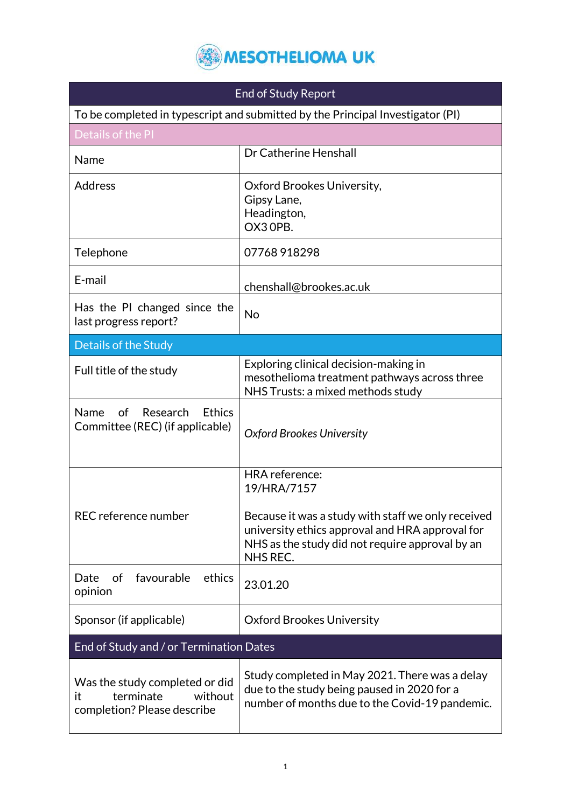

| <b>End of Study Report</b>                                                                  |                                                                                                                                                                                                              |  |
|---------------------------------------------------------------------------------------------|--------------------------------------------------------------------------------------------------------------------------------------------------------------------------------------------------------------|--|
| To be completed in typescript and submitted by the Principal Investigator (PI)              |                                                                                                                                                                                                              |  |
| Details of the PI                                                                           |                                                                                                                                                                                                              |  |
| Name                                                                                        | Dr Catherine Henshall                                                                                                                                                                                        |  |
| <b>Address</b>                                                                              | Oxford Brookes University,<br>Gipsy Lane,<br>Headington,<br>OX3 OPB.                                                                                                                                         |  |
| Telephone                                                                                   | 07768918298                                                                                                                                                                                                  |  |
| E-mail                                                                                      | chenshall@brookes.ac.uk                                                                                                                                                                                      |  |
| Has the PI changed since the<br>last progress report?                                       | No                                                                                                                                                                                                           |  |
| Details of the Study                                                                        |                                                                                                                                                                                                              |  |
| Full title of the study                                                                     | Exploring clinical decision-making in<br>mesothelioma treatment pathways across three<br>NHS Trusts: a mixed methods study                                                                                   |  |
| <b>Ethics</b><br>of<br>Research<br>Name<br>Committee (REC) (if applicable)                  | <b>Oxford Brookes University</b>                                                                                                                                                                             |  |
| REC reference number                                                                        | <b>HRA</b> reference:<br>19/HRA/7157<br>Because it was a study with staff we only received<br>university ethics approval and HRA approval for<br>NHS as the study did not require approval by an<br>NHS REC. |  |
| favourable<br>ethics<br>Date<br>of<br>opinion                                               | 23.01.20                                                                                                                                                                                                     |  |
| Sponsor (if applicable)                                                                     | <b>Oxford Brookes University</b>                                                                                                                                                                             |  |
| End of Study and / or Termination Dates                                                     |                                                                                                                                                                                                              |  |
| Was the study completed or did<br>terminate<br>without<br>it<br>completion? Please describe | Study completed in May 2021. There was a delay<br>due to the study being paused in 2020 for a<br>number of months due to the Covid-19 pandemic.                                                              |  |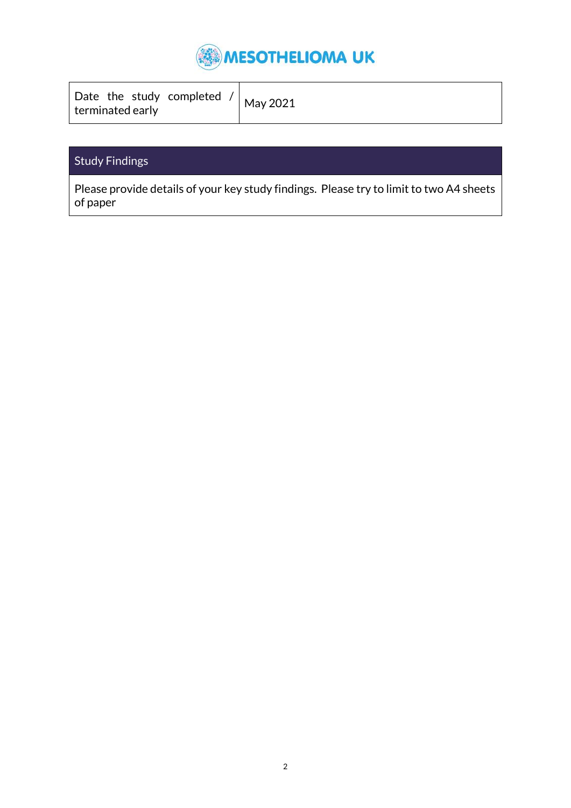

| Date the study completed $/$ May 2021 |
|---------------------------------------|
|---------------------------------------|

### Study Findings

Please provide details of your key study findings. Please try to limit to two A4 sheets of paper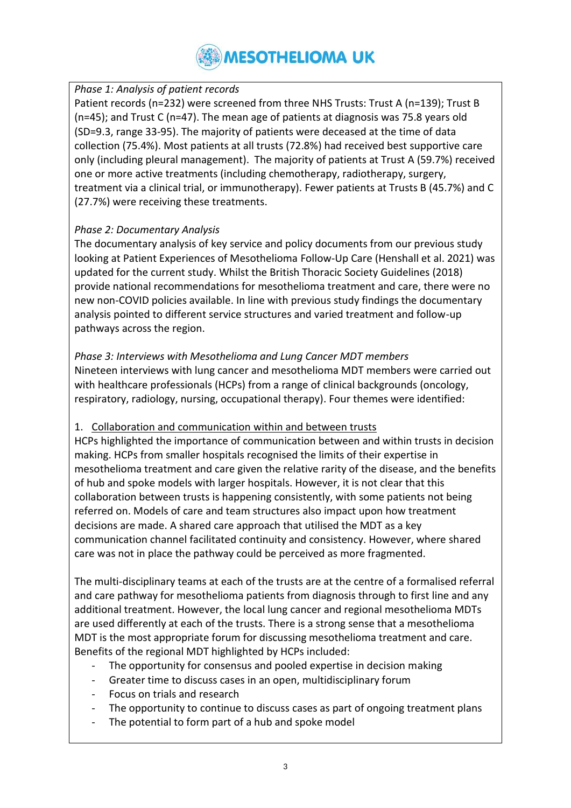#### *Phase 1: Analysis of patient records*

Patient records (n=232) were screened from three NHS Trusts: Trust A (n=139); Trust B (n=45); and Trust C (n=47). The mean age of patients at diagnosis was 75.8 years old (SD=9.3, range 33-95). The majority of patients were deceased at the time of data collection (75.4%). Most patients at all trusts (72.8%) had received best supportive care only (including pleural management). The majority of patients at Trust A (59.7%) received one or more active treatments (including chemotherapy, radiotherapy, surgery, treatment via a clinical trial, or immunotherapy). Fewer patients at Trusts B (45.7%) and C (27.7%) were receiving these treatments.

#### *Phase 2: Documentary Analysis*

The documentary analysis of key service and policy documents from our previous study looking at Patient Experiences of Mesothelioma Follow-Up Care (Henshall et al. 2021) was updated for the current study. Whilst the British Thoracic Society Guidelines (2018) provide national recommendations for mesothelioma treatment and care, there were no new non-COVID policies available. In line with previous study findings the documentary analysis pointed to different service structures and varied treatment and follow-up pathways across the region.

#### *Phase 3: Interviews with Mesothelioma and Lung Cancer MDT members* Nineteen interviews with lung cancer and mesothelioma MDT members were carried out with healthcare professionals (HCPs) from a range of clinical backgrounds (oncology,

respiratory, radiology, nursing, occupational therapy). Four themes were identified:

#### 1. Collaboration and communication within and between trusts

HCPs highlighted the importance of communication between and within trusts in decision making. HCPs from smaller hospitals recognised the limits of their expertise in mesothelioma treatment and care given the relative rarity of the disease, and the benefits of hub and spoke models with larger hospitals. However, it is not clear that this collaboration between trusts is happening consistently, with some patients not being referred on. Models of care and team structures also impact upon how treatment decisions are made. A shared care approach that utilised the MDT as a key communication channel facilitated continuity and consistency. However, where shared care was not in place the pathway could be perceived as more fragmented.

The multi-disciplinary teams at each of the trusts are at the centre of a formalised referral and care pathway for mesothelioma patients from diagnosis through to first line and any additional treatment. However, the local lung cancer and regional mesothelioma MDTs are used differently at each of the trusts. There is a strong sense that a mesothelioma MDT is the most appropriate forum for discussing mesothelioma treatment and care. Benefits of the regional MDT highlighted by HCPs included:

- The opportunity for consensus and pooled expertise in decision making
- Greater time to discuss cases in an open, multidisciplinary forum
- Focus on trials and research
- The opportunity to continue to discuss cases as part of ongoing treatment plans
- The potential to form part of a hub and spoke model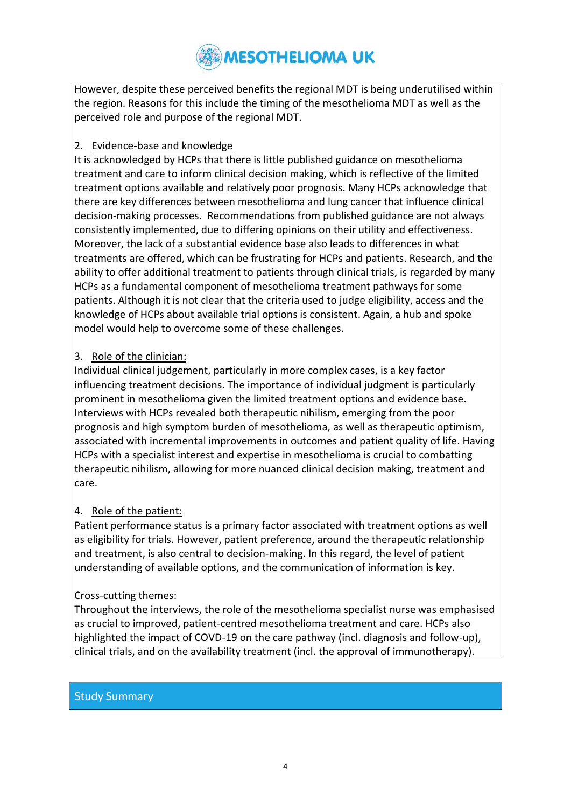However, despite these perceived benefits the regional MDT is being underutilised within the region. Reasons for this include the timing of the mesothelioma MDT as well as the perceived role and purpose of the regional MDT.

#### 2. Evidence-base and knowledge

It is acknowledged by HCPs that there is little published guidance on mesothelioma treatment and care to inform clinical decision making, which is reflective of the limited treatment options available and relatively poor prognosis. Many HCPs acknowledge that there are key differences between mesothelioma and lung cancer that influence clinical decision-making processes. Recommendations from published guidance are not always consistently implemented, due to differing opinions on their utility and effectiveness. Moreover, the lack of a substantial evidence base also leads to differences in what treatments are offered, which can be frustrating for HCPs and patients. Research, and the ability to offer additional treatment to patients through clinical trials, is regarded by many HCPs as a fundamental component of mesothelioma treatment pathways for some patients. Although it is not clear that the criteria used to judge eligibility, access and the knowledge of HCPs about available trial options is consistent. Again, a hub and spoke model would help to overcome some of these challenges.

#### 3. Role of the clinician:

Individual clinical judgement, particularly in more complex cases, is a key factor influencing treatment decisions. The importance of individual judgment is particularly prominent in mesothelioma given the limited treatment options and evidence base. Interviews with HCPs revealed both therapeutic nihilism, emerging from the poor prognosis and high symptom burden of mesothelioma, as well as therapeutic optimism, associated with incremental improvements in outcomes and patient quality of life. Having HCPs with a specialist interest and expertise in mesothelioma is crucial to combatting therapeutic nihilism, allowing for more nuanced clinical decision making, treatment and care.

#### 4. Role of the patient:

Patient performance status is a primary factor associated with treatment options as well as eligibility for trials. However, patient preference, around the therapeutic relationship and treatment, is also central to decision-making. In this regard, the level of patient understanding of available options, and the communication of information is key.

#### Cross-cutting themes:

Throughout the interviews, the role of the mesothelioma specialist nurse was emphasised as crucial to improved, patient-centred mesothelioma treatment and care. HCPs also highlighted the impact of COVD-19 on the care pathway (incl. diagnosis and follow-up), clinical trials, and on the availability treatment (incl. the approval of immunotherapy).

#### Study Summary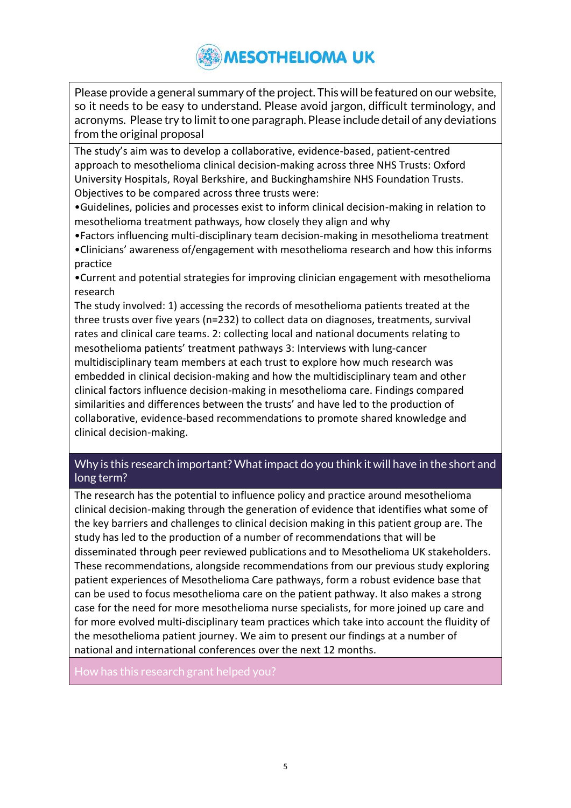Please provide a general summary of the project. This will be featured on our website, so it needs to be easy to understand. Please avoid jargon, difficult terminology, and acronyms. Please try to limit to one paragraph. Please include detail of any deviations from the original proposal

The study's aim was to develop a collaborative, evidence-based, patient-centred approach to mesothelioma clinical decision-making across three NHS Trusts: Oxford University Hospitals, Royal Berkshire, and Buckinghamshire NHS Foundation Trusts. Objectives to be compared across three trusts were:

•Guidelines, policies and processes exist to inform clinical decision-making in relation to mesothelioma treatment pathways, how closely they align and why

•Factors influencing multi-disciplinary team decision-making in mesothelioma treatment •Clinicians' awareness of/engagement with mesothelioma research and how this informs practice

•Current and potential strategies for improving clinician engagement with mesothelioma research

The study involved: 1) accessing the records of mesothelioma patients treated at the three trusts over five years (n=232) to collect data on diagnoses, treatments, survival rates and clinical care teams. 2: collecting local and national documents relating to mesothelioma patients' treatment pathways 3: Interviews with lung-cancer multidisciplinary team members at each trust to explore how much research was embedded in clinical decision-making and how the multidisciplinary team and other clinical factors influence decision-making in mesothelioma care. Findings compared similarities and differences between the trusts' and have led to the production of collaborative, evidence-based recommendations to promote shared knowledge and clinical decision-making.

#### Why is this research important? What impact do you think it will have in the short and long term?

The research has the potential to influence policy and practice around mesothelioma clinical decision-making through the generation of evidence that identifies what some of the key barriers and challenges to clinical decision making in this patient group are. The study has led to the production of a number of recommendations that will be disseminated through peer reviewed publications and to Mesothelioma UK stakeholders. These recommendations, alongside recommendations from our previous study exploring patient experiences of Mesothelioma Care pathways, form a robust evidence base that can be used to focus mesothelioma care on the patient pathway. It also makes a strong case for the need for more mesothelioma nurse specialists, for more joined up care and for more evolved multi-disciplinary team practices which take into account the fluidity of the mesothelioma patient journey. We aim to present our findings at a number of national and international conferences over the next 12 months.

How has this research grant helped you?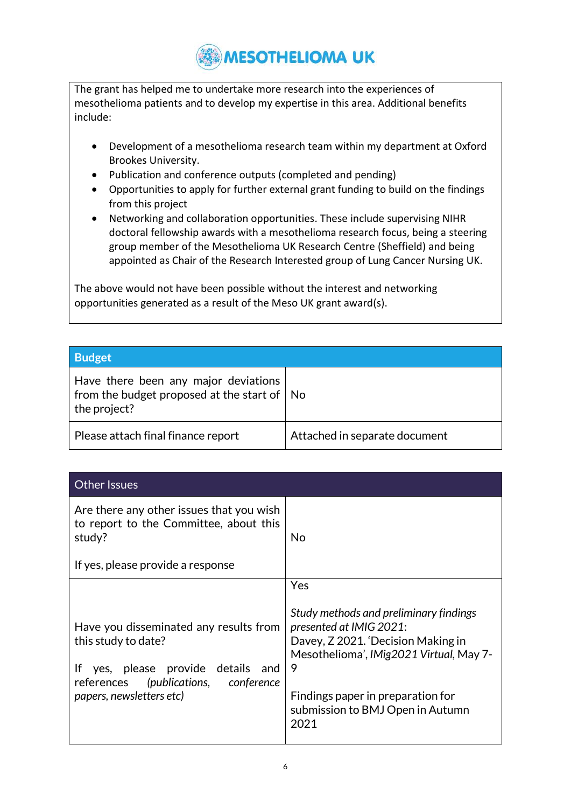The grant has helped me to undertake more research into the experiences of mesothelioma patients and to develop my expertise in this area. Additional benefits include:

- Development of a mesothelioma research team within my department at Oxford Brookes University.
- Publication and conference outputs (completed and pending)
- Opportunities to apply for further external grant funding to build on the findings from this project
- Networking and collaboration opportunities. These include supervising NIHR doctoral fellowship awards with a mesothelioma research focus, being a steering group member of the Mesothelioma UK Research Centre (Sheffield) and being appointed as Chair of the Research Interested group of Lung Cancer Nursing UK.

The above would not have been possible without the interest and networking opportunities generated as a result of the Meso UK grant award(s).

| <b>Budget</b>                                                                                               |                               |
|-------------------------------------------------------------------------------------------------------------|-------------------------------|
| Have there been any major deviations<br>from the budget proposed at the start of $\vert$ No<br>the project? |                               |
| Please attach final finance report                                                                          | Attached in separate document |

| <b>Other Issues</b>                                                                                                                                                        |                                                                                                                                                                                                                                                 |
|----------------------------------------------------------------------------------------------------------------------------------------------------------------------------|-------------------------------------------------------------------------------------------------------------------------------------------------------------------------------------------------------------------------------------------------|
| Are there any other issues that you wish<br>to report to the Committee, about this<br>study?<br>If yes, please provide a response                                          | No                                                                                                                                                                                                                                              |
| Have you disseminated any results from<br>this study to date?<br>yes, please provide details and<br>lf<br>references (publications, conference<br>papers, newsletters etc) | Yes<br>Study methods and preliminary findings<br>presented at IMIG 2021:<br>Davey, Z 2021. 'Decision Making in<br>Mesothelioma', IMig2021 Virtual, May 7-<br>9<br>Findings paper in preparation for<br>submission to BMJ Open in Autumn<br>2021 |